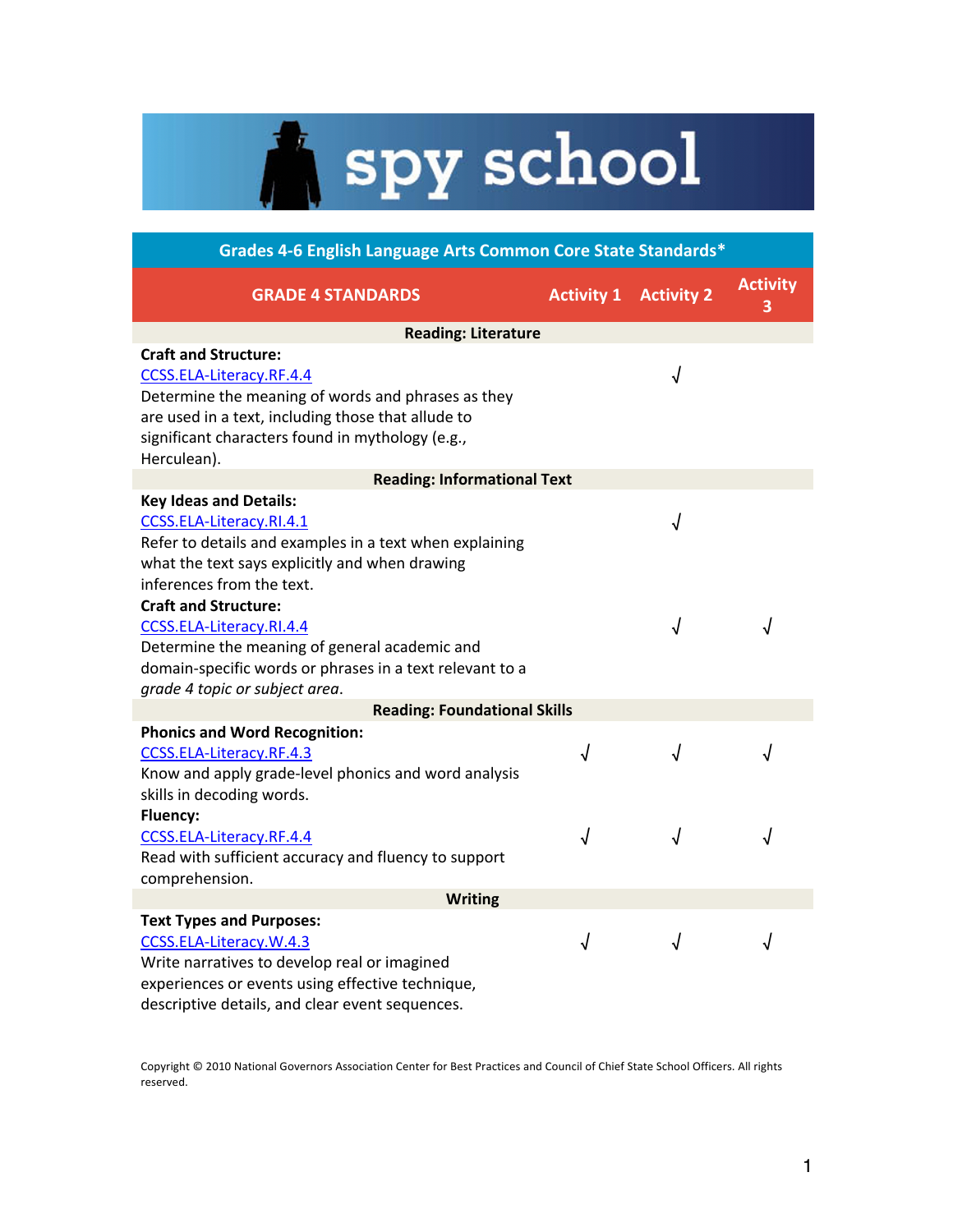## A spy school

| Grades 4-6 English Language Arts Common Core State Standards*                                                                                                                                                     |                   |                   |                      |
|-------------------------------------------------------------------------------------------------------------------------------------------------------------------------------------------------------------------|-------------------|-------------------|----------------------|
| <b>GRADE 4 STANDARDS</b>                                                                                                                                                                                          | <b>Activity 1</b> | <b>Activity 2</b> | <b>Activity</b><br>3 |
| <b>Reading: Literature</b>                                                                                                                                                                                        |                   |                   |                      |
| <b>Craft and Structure:</b><br>CCSS.ELA-Literacy.RF.4.4<br>Determine the meaning of words and phrases as they                                                                                                     |                   | √                 |                      |
| are used in a text, including those that allude to<br>significant characters found in mythology (e.g.,<br>Herculean).                                                                                             |                   |                   |                      |
| <b>Reading: Informational Text</b>                                                                                                                                                                                |                   |                   |                      |
| <b>Key Ideas and Details:</b><br>CCSS.ELA-Literacy.RI.4.1<br>Refer to details and examples in a text when explaining<br>what the text says explicitly and when drawing<br>inferences from the text.               |                   | √                 |                      |
| <b>Craft and Structure:</b><br>CCSS.ELA-Literacy.RI.4.4<br>Determine the meaning of general academic and<br>domain-specific words or phrases in a text relevant to a<br>grade 4 topic or subject area.            |                   | √                 | √                    |
| <b>Reading: Foundational Skills</b>                                                                                                                                                                               |                   |                   |                      |
| <b>Phonics and Word Recognition:</b><br>CCSS.ELA-Literacy.RF.4.3<br>Know and apply grade-level phonics and word analysis<br>skills in decoding words.                                                             | √                 | √                 | √                    |
| <b>Fluency:</b><br>CCSS.ELA-Literacy.RF.4.4<br>Read with sufficient accuracy and fluency to support<br>comprehension.                                                                                             | $\sqrt{ }$        | $\sqrt{ }$        | √                    |
| <b>Writing</b>                                                                                                                                                                                                    |                   |                   |                      |
| <b>Text Types and Purposes:</b><br>CCSS.ELA-Literacy.W.4.3<br>Write narratives to develop real or imagined<br>experiences or events using effective technique,<br>descriptive details, and clear event sequences. | √                 | √                 | √                    |

Copyright © 2010 National Governors Association Center for Best Practices and Council of Chief State School Officers. All rights reserved.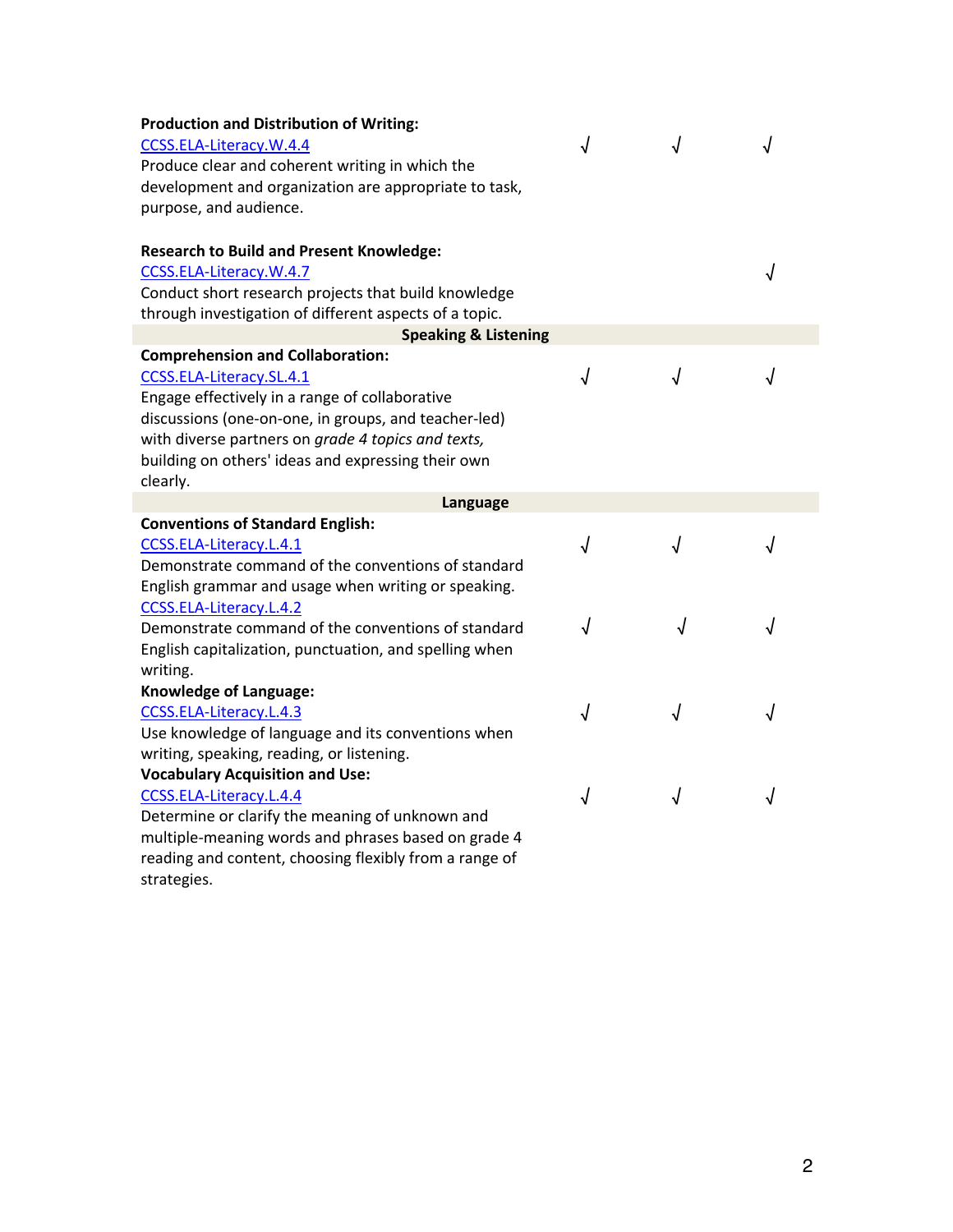| <b>Production and Distribution of Writing:</b><br>CCSS.ELA-Literacy.W.4.4<br>Produce clear and coherent writing in which the<br>development and organization are appropriate to task,<br>purpose, and audience.<br><b>Research to Build and Present Knowledge:</b> | J |            |   |
|--------------------------------------------------------------------------------------------------------------------------------------------------------------------------------------------------------------------------------------------------------------------|---|------------|---|
| CCSS.ELA-Literacy.W.4.7<br>Conduct short research projects that build knowledge                                                                                                                                                                                    |   |            |   |
| through investigation of different aspects of a topic.                                                                                                                                                                                                             |   |            |   |
| <b>Speaking &amp; Listening</b>                                                                                                                                                                                                                                    |   |            |   |
| <b>Comprehension and Collaboration:</b>                                                                                                                                                                                                                            |   |            |   |
| CCSS.ELA-Literacy.SL.4.1                                                                                                                                                                                                                                           | J | J          |   |
| Engage effectively in a range of collaborative                                                                                                                                                                                                                     |   |            |   |
| discussions (one-on-one, in groups, and teacher-led)                                                                                                                                                                                                               |   |            |   |
| with diverse partners on grade 4 topics and texts,                                                                                                                                                                                                                 |   |            |   |
| building on others' ideas and expressing their own<br>clearly.                                                                                                                                                                                                     |   |            |   |
| Language                                                                                                                                                                                                                                                           |   |            |   |
| <b>Conventions of Standard English:</b>                                                                                                                                                                                                                            |   |            |   |
| CCSS.ELA-Literacy.L.4.1                                                                                                                                                                                                                                            | J |            |   |
| Demonstrate command of the conventions of standard                                                                                                                                                                                                                 |   |            |   |
| English grammar and usage when writing or speaking.                                                                                                                                                                                                                |   |            |   |
| CCSS.ELA-Literacy.L.4.2                                                                                                                                                                                                                                            |   |            |   |
| Demonstrate command of the conventions of standard                                                                                                                                                                                                                 |   |            |   |
| English capitalization, punctuation, and spelling when                                                                                                                                                                                                             |   |            |   |
| writing.                                                                                                                                                                                                                                                           |   |            |   |
| Knowledge of Language:                                                                                                                                                                                                                                             |   |            |   |
| CCSS.ELA-Literacy.L.4.3                                                                                                                                                                                                                                            | √ | √          |   |
| Use knowledge of language and its conventions when                                                                                                                                                                                                                 |   |            |   |
| writing, speaking, reading, or listening.<br><b>Vocabulary Acquisition and Use:</b>                                                                                                                                                                                |   |            |   |
| CCSS.ELA-Literacy.L.4.4                                                                                                                                                                                                                                            | √ | $\sqrt{ }$ |   |
| Determine or clarify the meaning of unknown and                                                                                                                                                                                                                    |   |            | √ |
| multiple-meaning words and phrases based on grade 4                                                                                                                                                                                                                |   |            |   |
|                                                                                                                                                                                                                                                                    |   |            |   |

reading and content, choosing flexibly from a range of strategies.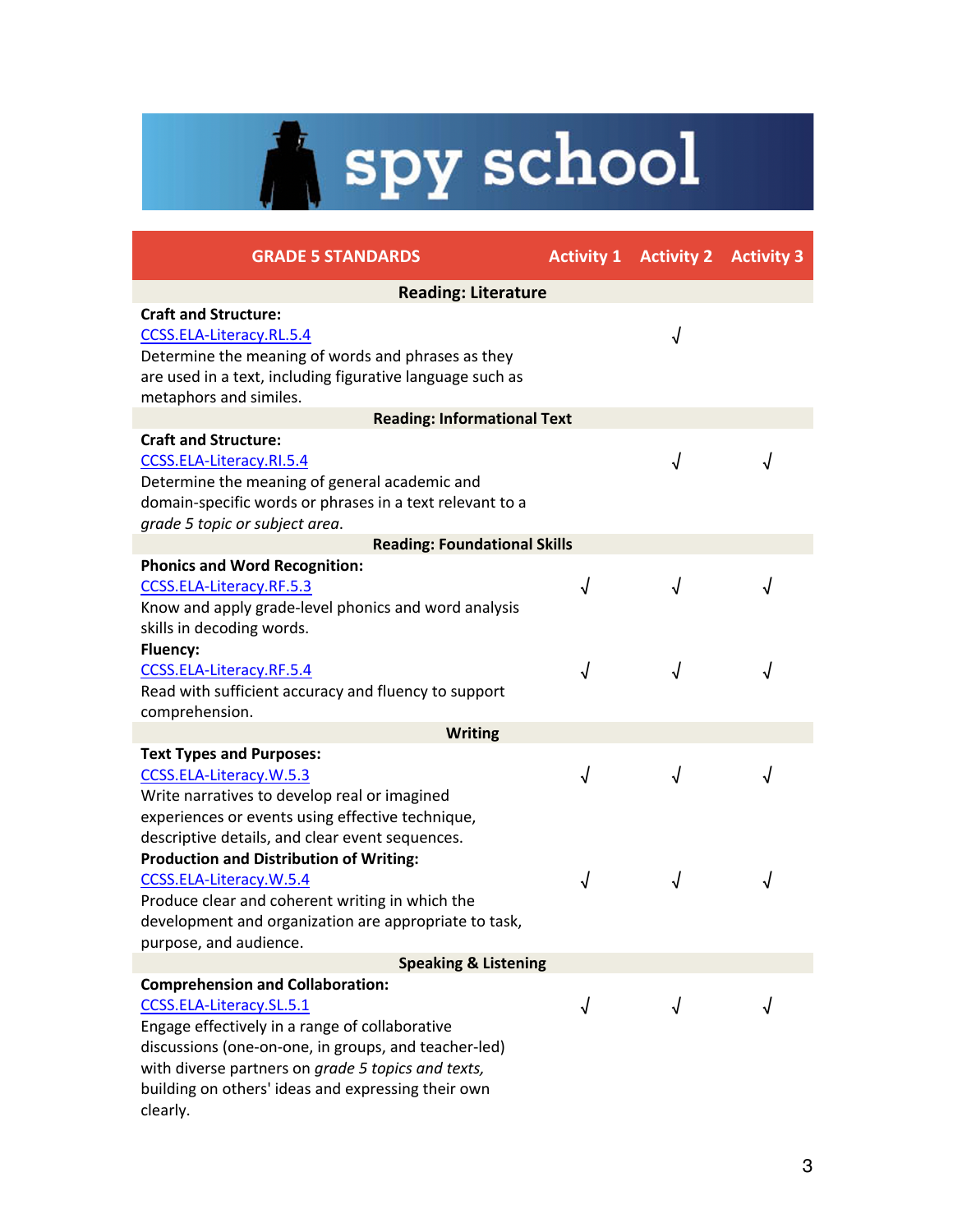# Spy school

| <b>GRADE 5 STANDARDS</b>                                                                                                                                                                                                                                                                              |            | <b>Activity 1 Activity 2 Activity 3</b> |            |
|-------------------------------------------------------------------------------------------------------------------------------------------------------------------------------------------------------------------------------------------------------------------------------------------------------|------------|-----------------------------------------|------------|
| <b>Reading: Literature</b>                                                                                                                                                                                                                                                                            |            |                                         |            |
| <b>Craft and Structure:</b><br>CCSS.ELA-Literacy.RL.5.4<br>Determine the meaning of words and phrases as they<br>are used in a text, including figurative language such as<br>metaphors and similes.                                                                                                  |            | √                                       |            |
| <b>Reading: Informational Text</b>                                                                                                                                                                                                                                                                    |            |                                         |            |
| <b>Craft and Structure:</b><br>CCSS.ELA-Literacy.RI.5.4<br>Determine the meaning of general academic and<br>domain-specific words or phrases in a text relevant to a<br>grade 5 topic or subject area.                                                                                                |            |                                         |            |
| <b>Reading: Foundational Skills</b>                                                                                                                                                                                                                                                                   |            |                                         |            |
| <b>Phonics and Word Recognition:</b><br>CCSS.ELA-Literacy.RF.5.3<br>Know and apply grade-level phonics and word analysis<br>skills in decoding words.                                                                                                                                                 | $\sqrt{ }$ | √                                       |            |
| Fluency:<br>CCSS.ELA-Literacy.RF.5.4<br>Read with sufficient accuracy and fluency to support<br>comprehension.                                                                                                                                                                                        | $\sqrt{ }$ | √                                       |            |
| <b>Writing</b>                                                                                                                                                                                                                                                                                        |            |                                         |            |
| <b>Text Types and Purposes:</b><br>CCSS.ELA-Literacy.W.5.3<br>Write narratives to develop real or imagined<br>experiences or events using effective technique,<br>descriptive details, and clear event sequences.                                                                                     | $\sqrt{ }$ | √                                       | $\sqrt{ }$ |
| <b>Production and Distribution of Writing:</b><br>CCSS.ELA-Literacy.W.5.4<br>Produce clear and coherent writing in which the<br>development and organization are appropriate to task,<br>purpose, and audience.                                                                                       | $\sqrt{2}$ |                                         |            |
| <b>Speaking &amp; Listening</b>                                                                                                                                                                                                                                                                       |            |                                         |            |
| <b>Comprehension and Collaboration:</b><br>CCSS.ELA-Literacy.SL.5.1<br>Engage effectively in a range of collaborative<br>discussions (one-on-one, in groups, and teacher-led)<br>with diverse partners on grade 5 topics and texts,<br>building on others' ideas and expressing their own<br>clearly. |            |                                         |            |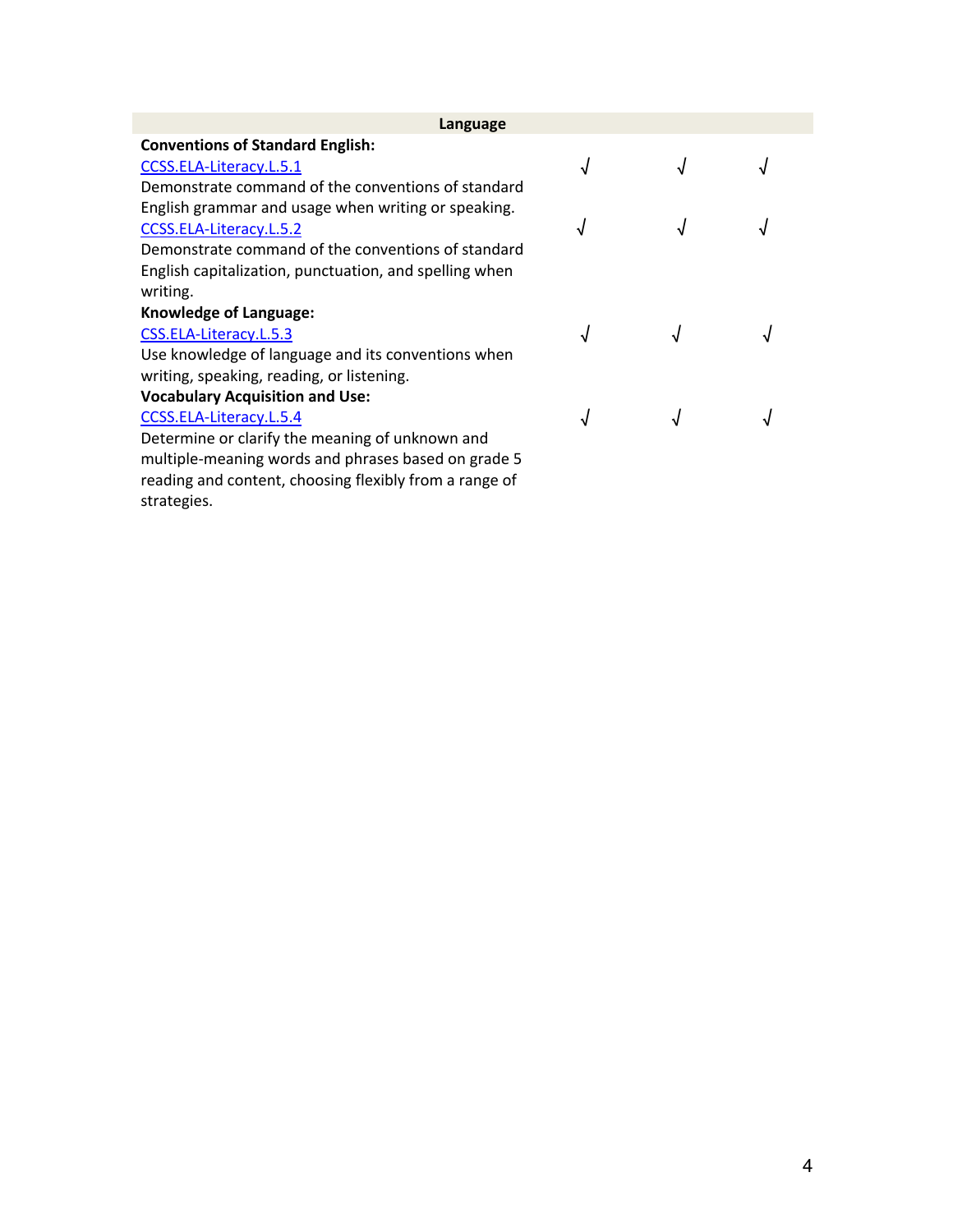| Language                                               |            |  |  |
|--------------------------------------------------------|------------|--|--|
| <b>Conventions of Standard English:</b>                |            |  |  |
| CCSS.ELA-Literacy.L.5.1                                | $\sqrt{ }$ |  |  |
| Demonstrate command of the conventions of standard     |            |  |  |
| English grammar and usage when writing or speaking.    |            |  |  |
| CCSS.ELA-Literacy.L.5.2                                | ٦J         |  |  |
| Demonstrate command of the conventions of standard     |            |  |  |
| English capitalization, punctuation, and spelling when |            |  |  |
| writing.                                               |            |  |  |
| <b>Knowledge of Language:</b>                          |            |  |  |
| CSS.ELA-Literacy.L.5.3                                 | √          |  |  |
| Use knowledge of language and its conventions when     |            |  |  |
| writing, speaking, reading, or listening.              |            |  |  |
| <b>Vocabulary Acquisition and Use:</b>                 |            |  |  |
| CCSS.ELA-Literacy.L.5.4                                | √          |  |  |
| Determine or clarify the meaning of unknown and        |            |  |  |
| multiple-meaning words and phrases based on grade 5    |            |  |  |
| reading and content, choosing flexibly from a range of |            |  |  |
| strategies.                                            |            |  |  |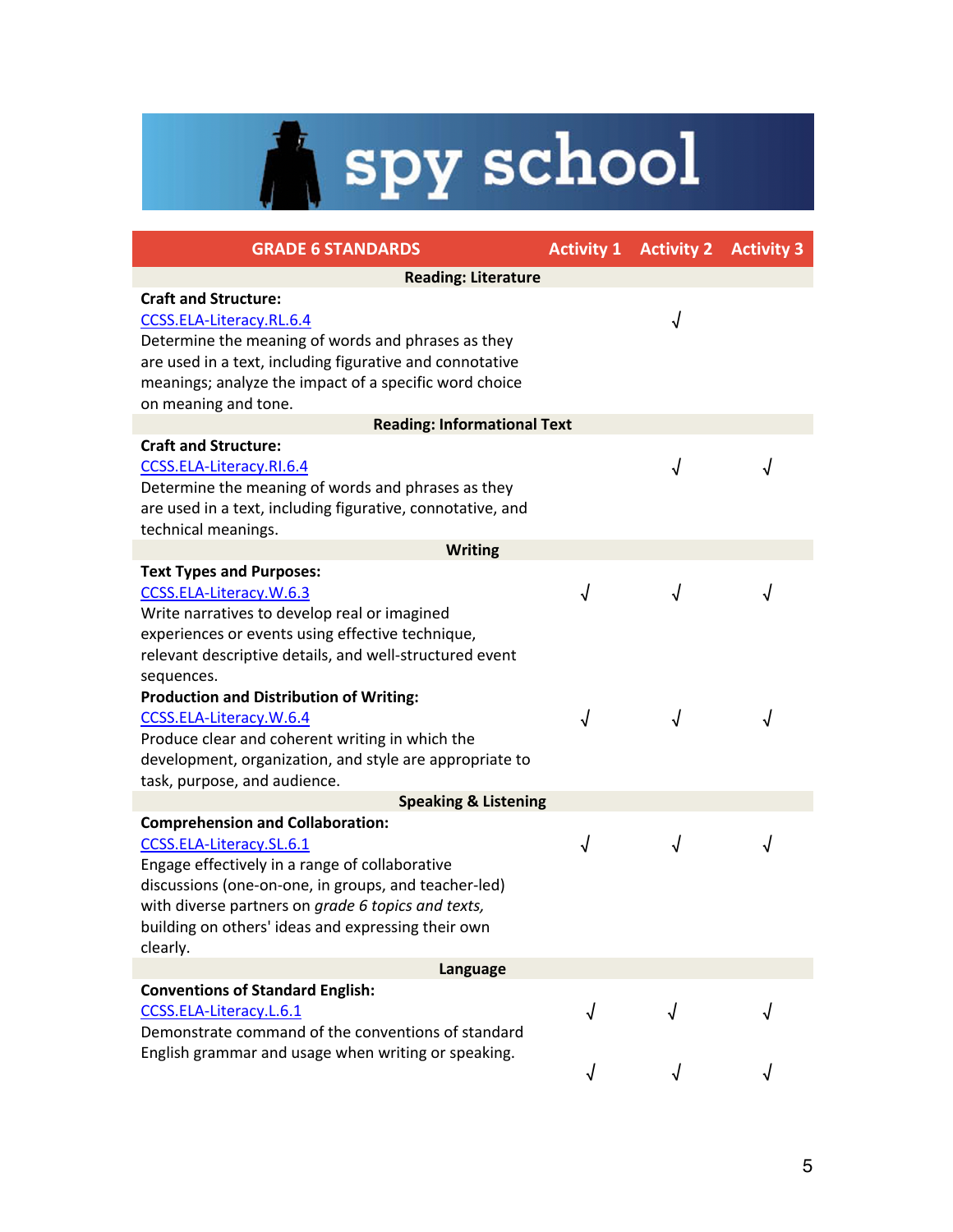## Spy school

| <b>GRADE 6 STANDARDS</b>                                                                                                                                                                                                                                                                              |   | <b>Activity 1 Activity 2 Activity 3</b> |   |  |
|-------------------------------------------------------------------------------------------------------------------------------------------------------------------------------------------------------------------------------------------------------------------------------------------------------|---|-----------------------------------------|---|--|
| <b>Reading: Literature</b>                                                                                                                                                                                                                                                                            |   |                                         |   |  |
| <b>Craft and Structure:</b><br>CCSS.ELA-Literacy.RL.6.4<br>Determine the meaning of words and phrases as they<br>are used in a text, including figurative and connotative<br>meanings; analyze the impact of a specific word choice<br>on meaning and tone.                                           |   | √                                       |   |  |
| <b>Reading: Informational Text</b>                                                                                                                                                                                                                                                                    |   |                                         |   |  |
| <b>Craft and Structure:</b><br>CCSS.ELA-Literacy.RI.6.4<br>Determine the meaning of words and phrases as they<br>are used in a text, including figurative, connotative, and<br>technical meanings.                                                                                                    |   | J                                       |   |  |
| <b>Writing</b>                                                                                                                                                                                                                                                                                        |   |                                         |   |  |
| <b>Text Types and Purposes:</b><br>CCSS.ELA-Literacy.W.6.3<br>Write narratives to develop real or imagined<br>experiences or events using effective technique,<br>relevant descriptive details, and well-structured event                                                                             | √ | √                                       |   |  |
| sequences.<br><b>Production and Distribution of Writing:</b><br>CCSS.ELA-Literacy.W.6.4<br>Produce clear and coherent writing in which the<br>development, organization, and style are appropriate to<br>task, purpose, and audience.                                                                 | √ | √                                       |   |  |
| <b>Speaking &amp; Listening</b>                                                                                                                                                                                                                                                                       |   |                                         |   |  |
| <b>Comprehension and Collaboration:</b><br>CCSS.ELA-Literacy.SL.6.1<br>Engage effectively in a range of collaborative<br>discussions (one-on-one, in groups, and teacher-led)<br>with diverse partners on grade 6 topics and texts,<br>building on others' ideas and expressing their own<br>clearly. | √ | √                                       | √ |  |
| Language                                                                                                                                                                                                                                                                                              |   |                                         |   |  |
| <b>Conventions of Standard English:</b><br>CCSS.ELA-Literacy.L.6.1<br>Demonstrate command of the conventions of standard<br>English grammar and usage when writing or speaking.                                                                                                                       | √ |                                         |   |  |
|                                                                                                                                                                                                                                                                                                       |   |                                         |   |  |